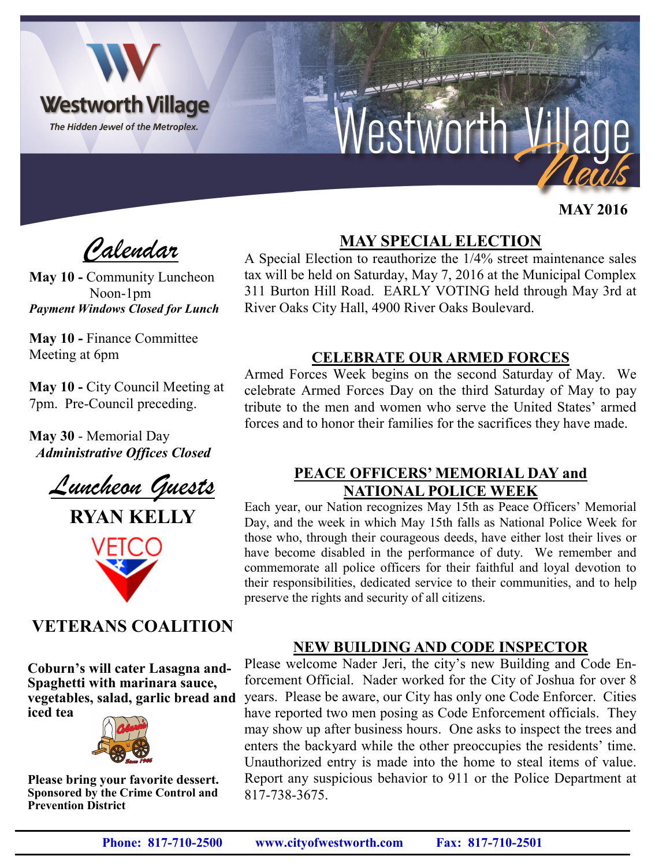

 **MAY 2016**

*Calendar*

**May 10 -** Community Luncheon Noon-1pm *Payment Windows Closed for Lunch*

**May 10 -** Finance Committee Meeting at 6pm

**May 10 -** City Council Meeting at 7pm. Pre-Council preceding.

**May 30** - Memorial Day *Administrative Offices Closed*

*Luncheon Guests*



# **VETERANS COALITION**

**Coburn's will cater Lasagna and-Spaghetti with marinara sauce, vegetables, salad, garlic bread and iced tea**



**Please bring your favorite dessert. Sponsored by the Crime Control and Prevention District**

# **MAY SPECIAL ELECTION**

A Special Election to reauthorize the 1/4% street maintenance sales tax will be held on Saturday, May 7, 2016 at the Municipal Complex 311 Burton Hill Road. EARLY VOTING held through May 3rd at River Oaks City Hall, 4900 River Oaks Boulevard.

#### **CELEBRATE OUR ARMED FORCES**

Armed Forces Week begins on the second Saturday of May. We celebrate Armed Forces Day on the third Saturday of May to pay tribute to the men and women who serve the United States' armed forces and to honor their families for the sacrifices they have made.

#### **PEACE OFFICERS' MEMORIAL DAY and NATIONAL POLICE WEEK**

Each year, our Nation recognizes May 15th as Peace Officers' Memorial Day, and the week in which May 15th falls as National Police Week for those who, through their courageous deeds, have either lost their lives or have become disabled in the performance of duty. We remember and commemorate all police officers for their faithful and loyal devotion to their responsibilities, dedicated service to their communities, and to help preserve the rights and security of all citizens.

#### **NEW BUILDING AND CODE INSPECTOR**

Please welcome Nader Jeri, the city's new Building and Code Enforcement Official. Nader worked for the City of Joshua for over 8 years. Please be aware, our City has only one Code Enforcer. Cities have reported two men posing as Code Enforcement officials. They may show up after business hours. One asks to inspect the trees and enters the backyard while the other preoccupies the residents' time. Unauthorized entry is made into the home to steal items of value. Report any suspicious behavior to 911 or the Police Department at 817-738-3675.